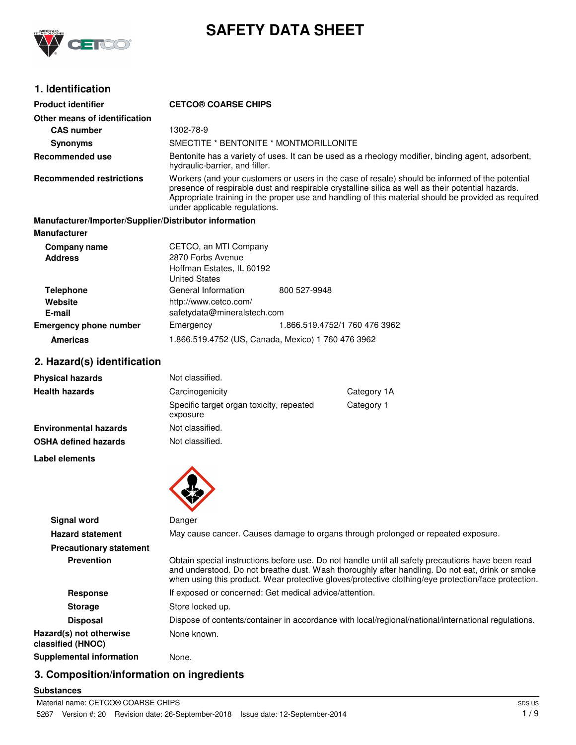

# **SAFETY DATA SHEET**

## **1. Identification**

| <b>Product identifier</b>                              | <b>CETCO® COARSE CHIPS</b>                                                                                                                                                                                                                                                                                                                   |                               |
|--------------------------------------------------------|----------------------------------------------------------------------------------------------------------------------------------------------------------------------------------------------------------------------------------------------------------------------------------------------------------------------------------------------|-------------------------------|
| Other means of identification                          |                                                                                                                                                                                                                                                                                                                                              |                               |
| <b>CAS number</b>                                      | 1302-78-9                                                                                                                                                                                                                                                                                                                                    |                               |
| <b>Synonyms</b>                                        | SMECTITE * BENTONITE * MONTMORILLONITE                                                                                                                                                                                                                                                                                                       |                               |
| <b>Recommended use</b>                                 | Bentonite has a variety of uses. It can be used as a rheology modifier, binding agent, adsorbent,<br>hydraulic-barrier, and filler.                                                                                                                                                                                                          |                               |
| <b>Recommended restrictions</b>                        | Workers (and your customers or users in the case of resale) should be informed of the potential<br>presence of respirable dust and respirable crystalline silica as well as their potential hazards.<br>Appropriate training in the proper use and handling of this material should be provided as required<br>under applicable regulations. |                               |
| Manufacturer/Importer/Supplier/Distributor information |                                                                                                                                                                                                                                                                                                                                              |                               |
| <b>Manufacturer</b>                                    |                                                                                                                                                                                                                                                                                                                                              |                               |
| Company name                                           | CETCO, an MTI Company                                                                                                                                                                                                                                                                                                                        |                               |
| <b>Address</b>                                         | 2870 Forbs Avenue                                                                                                                                                                                                                                                                                                                            |                               |
|                                                        | Hoffman Estates, IL 60192<br><b>United States</b>                                                                                                                                                                                                                                                                                            |                               |
| <b>Telephone</b>                                       | General Information                                                                                                                                                                                                                                                                                                                          | 800 527-9948                  |
| Website                                                | http://www.cetco.com/                                                                                                                                                                                                                                                                                                                        |                               |
| E-mail                                                 | safetydata@mineralstech.com                                                                                                                                                                                                                                                                                                                  |                               |
| <b>Emergency phone number</b>                          | Emergency                                                                                                                                                                                                                                                                                                                                    | 1.866.519.4752/1 760 476 3962 |
| <b>Americas</b>                                        | 1.866.519.4752 (US, Canada, Mexico) 1 760 476 3962                                                                                                                                                                                                                                                                                           |                               |
| 2. Hazard(s) identification                            |                                                                                                                                                                                                                                                                                                                                              |                               |
| <b>Physical hazards</b>                                | Not classified.                                                                                                                                                                                                                                                                                                                              |                               |
| .                                                      | $\sim$ $\sim$ $\sim$ $\sim$ $\sim$                                                                                                                                                                                                                                                                                                           | $\sim$ $\sim$ $\sim$          |

| Physical nazards             | inoi ciassilleu.                                     |             |
|------------------------------|------------------------------------------------------|-------------|
| <b>Health hazards</b>        | Carcinogenicity                                      | Category 1A |
|                              | Specific target organ toxicity, repeated<br>exposure | Category 1  |
| <b>Environmental hazards</b> | Not classified.                                      |             |
| OSHA defined hazards         | Not classified.                                      |             |
| Label elements               |                                                      |             |



| <b>Signal word</b>                           | Danger                                                                                                                                                                                                                                                                                                      |
|----------------------------------------------|-------------------------------------------------------------------------------------------------------------------------------------------------------------------------------------------------------------------------------------------------------------------------------------------------------------|
| <b>Hazard statement</b>                      | May cause cancer. Causes damage to organs through prolonged or repeated exposure.                                                                                                                                                                                                                           |
| <b>Precautionary statement</b>               |                                                                                                                                                                                                                                                                                                             |
| <b>Prevention</b>                            | Obtain special instructions before use. Do not handle until all safety precautions have been read<br>and understood. Do not breathe dust. Wash thoroughly after handling. Do not eat, drink or smoke<br>when using this product. Wear protective gloves/protective clothing/eye protection/face protection. |
| <b>Response</b>                              | If exposed or concerned: Get medical advice/attention.                                                                                                                                                                                                                                                      |
| <b>Storage</b>                               | Store locked up.                                                                                                                                                                                                                                                                                            |
| <b>Disposal</b>                              | Dispose of contents/container in accordance with local/regional/national/international regulations.                                                                                                                                                                                                         |
| Hazard(s) not otherwise<br>classified (HNOC) | None known.                                                                                                                                                                                                                                                                                                 |
| Supplemental information                     | None.                                                                                                                                                                                                                                                                                                       |

## **3. Composition/information on ingredients**

### **Substances**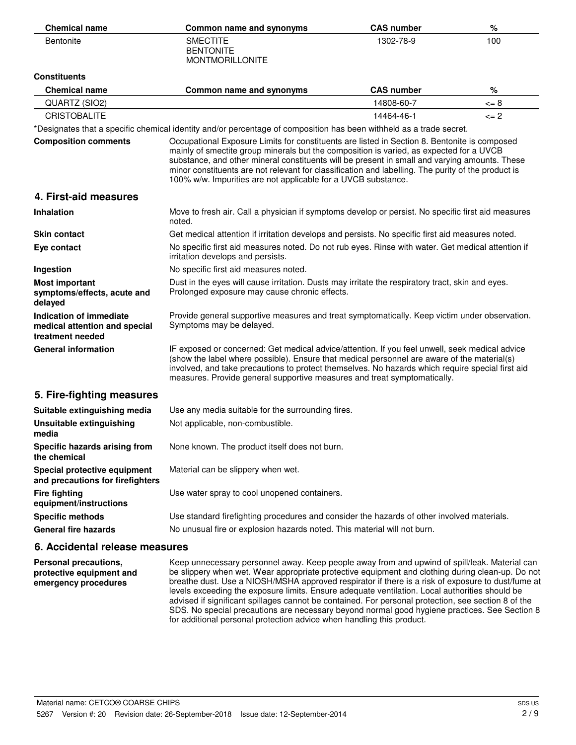| <b>Chemical name</b>                                                         | <b>Common name and synonyms</b>                                                                                                                                                                                                                                                                                                                                                                                                                                 | <b>CAS number</b> | %              |
|------------------------------------------------------------------------------|-----------------------------------------------------------------------------------------------------------------------------------------------------------------------------------------------------------------------------------------------------------------------------------------------------------------------------------------------------------------------------------------------------------------------------------------------------------------|-------------------|----------------|
| <b>Bentonite</b>                                                             | <b>SMECTITE</b><br><b>BENTONITE</b><br><b>MONTMORILLONITE</b>                                                                                                                                                                                                                                                                                                                                                                                                   | 1302-78-9         | 100            |
| <b>Constituents</b>                                                          |                                                                                                                                                                                                                                                                                                                                                                                                                                                                 |                   |                |
| <b>Chemical name</b>                                                         | <b>Common name and synonyms</b>                                                                                                                                                                                                                                                                                                                                                                                                                                 | <b>CAS number</b> | %              |
| QUARTZ (SIO2)                                                                |                                                                                                                                                                                                                                                                                                                                                                                                                                                                 | 14808-60-7        | $\epsilon = 8$ |
| <b>CRISTOBALITE</b>                                                          |                                                                                                                                                                                                                                                                                                                                                                                                                                                                 | 14464-46-1        | $\leq$ 2       |
|                                                                              | *Designates that a specific chemical identity and/or percentage of composition has been withheld as a trade secret.                                                                                                                                                                                                                                                                                                                                             |                   |                |
| <b>Composition comments</b>                                                  | Occupational Exposure Limits for constituents are listed in Section 8. Bentonite is composed<br>mainly of smectite group minerals but the composition is varied, as expected for a UVCB<br>substance, and other mineral constituents will be present in small and varying amounts. These<br>minor constituents are not relevant for classification and labelling. The purity of the product is<br>100% w/w. Impurities are not applicable for a UVCB substance. |                   |                |
| 4. First-aid measures                                                        |                                                                                                                                                                                                                                                                                                                                                                                                                                                                 |                   |                |
| Inhalation                                                                   | Move to fresh air. Call a physician if symptoms develop or persist. No specific first aid measures<br>noted.                                                                                                                                                                                                                                                                                                                                                    |                   |                |
| <b>Skin contact</b>                                                          | Get medical attention if irritation develops and persists. No specific first aid measures noted.                                                                                                                                                                                                                                                                                                                                                                |                   |                |
| Eye contact                                                                  | No specific first aid measures noted. Do not rub eyes. Rinse with water. Get medical attention if<br>irritation develops and persists.                                                                                                                                                                                                                                                                                                                          |                   |                |
| Ingestion                                                                    | No specific first aid measures noted.                                                                                                                                                                                                                                                                                                                                                                                                                           |                   |                |
| <b>Most important</b><br>symptoms/effects, acute and<br>delayed              | Dust in the eyes will cause irritation. Dusts may irritate the respiratory tract, skin and eyes.<br>Prolonged exposure may cause chronic effects.                                                                                                                                                                                                                                                                                                               |                   |                |
| Indication of immediate<br>medical attention and special<br>treatment needed | Provide general supportive measures and treat symptomatically. Keep victim under observation.<br>Symptoms may be delayed.                                                                                                                                                                                                                                                                                                                                       |                   |                |
| <b>General information</b>                                                   | IF exposed or concerned: Get medical advice/attention. If you feel unwell, seek medical advice<br>(show the label where possible). Ensure that medical personnel are aware of the material(s)<br>involved, and take precautions to protect themselves. No hazards which require special first aid<br>measures. Provide general supportive measures and treat symptomatically.                                                                                   |                   |                |
| 5. Fire-fighting measures                                                    |                                                                                                                                                                                                                                                                                                                                                                                                                                                                 |                   |                |
| Suitable extinguishing media                                                 | Use any media suitable for the surrounding fires.                                                                                                                                                                                                                                                                                                                                                                                                               |                   |                |
| <b>Unsuitable extinguishing</b><br>media                                     | Not applicable, non-combustible.                                                                                                                                                                                                                                                                                                                                                                                                                                |                   |                |
| Specific hazards arising from<br>the chemical                                | None known. The product itself does not burn.                                                                                                                                                                                                                                                                                                                                                                                                                   |                   |                |
| Special protective equipment<br>and precautions for firefighters             | Material can be slippery when wet.                                                                                                                                                                                                                                                                                                                                                                                                                              |                   |                |
| <b>Fire fighting</b><br>equipment/instructions                               | Use water spray to cool unopened containers.                                                                                                                                                                                                                                                                                                                                                                                                                    |                   |                |
| <b>Specific methods</b>                                                      | Use standard firefighting procedures and consider the hazards of other involved materials.                                                                                                                                                                                                                                                                                                                                                                      |                   |                |
| <b>General fire hazards</b>                                                  | No unusual fire or explosion hazards noted. This material will not burn.                                                                                                                                                                                                                                                                                                                                                                                        |                   |                |

## **6. Accidental release measures**

Keep unnecessary personnel away. Keep people away from and upwind of spill/leak. Material can be slippery when wet. Wear appropriate protective equipment and clothing during clean-up. Do not breathe dust. Use a NIOSH/MSHA approved respirator if there is a risk of exposure to dust/fume at levels exceeding the exposure limits. Ensure adequate ventilation. Local authorities should be advised if significant spillages cannot be contained. For personal protection, see section 8 of the SDS. No special precautions are necessary beyond normal good hygiene practices. See Section 8 for additional personal protection advice when handling this product. **Personal precautions, protective equipment and emergency procedures**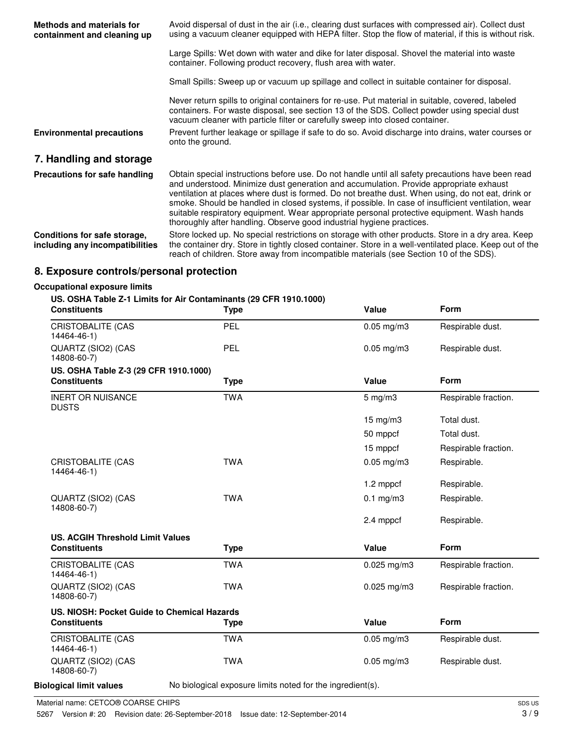| <b>Methods and materials for</b><br>containment and cleaning up | Avoid dispersal of dust in the air (i.e., clearing dust surfaces with compressed air). Collect dust<br>using a vacuum cleaner equipped with HEPA filter. Stop the flow of material, if this is without risk.                                                                                                                                                                                                                                                                                                                                                                  |  |
|-----------------------------------------------------------------|-------------------------------------------------------------------------------------------------------------------------------------------------------------------------------------------------------------------------------------------------------------------------------------------------------------------------------------------------------------------------------------------------------------------------------------------------------------------------------------------------------------------------------------------------------------------------------|--|
|                                                                 | Large Spills: Wet down with water and dike for later disposal. Shovel the material into waste<br>container. Following product recovery, flush area with water.                                                                                                                                                                                                                                                                                                                                                                                                                |  |
|                                                                 | Small Spills: Sweep up or vacuum up spillage and collect in suitable container for disposal.                                                                                                                                                                                                                                                                                                                                                                                                                                                                                  |  |
|                                                                 | Never return spills to original containers for re-use. Put material in suitable, covered, labeled<br>containers. For waste disposal, see section 13 of the SDS. Collect powder using special dust<br>vacuum cleaner with particle filter or carefully sweep into closed container.                                                                                                                                                                                                                                                                                            |  |
| <b>Environmental precautions</b>                                | Prevent further leakage or spillage if safe to do so. Avoid discharge into drains, water courses or<br>onto the ground.                                                                                                                                                                                                                                                                                                                                                                                                                                                       |  |
| 7. Handling and storage                                         |                                                                                                                                                                                                                                                                                                                                                                                                                                                                                                                                                                               |  |
| Precautions for safe handling                                   | Obtain special instructions before use. Do not handle until all safety precautions have been read<br>and understood. Minimize dust generation and accumulation. Provide appropriate exhaust<br>ventilation at places where dust is formed. Do not breathe dust. When using, do not eat, drink or<br>smoke. Should be handled in closed systems, if possible. In case of insufficient ventilation, wear<br>suitable respiratory equipment. Wear appropriate personal protective equipment. Wash hands<br>thoroughly after handling. Observe good industrial hygiene practices. |  |
| Conditions for safe storage,<br>including any incompatibilities | Store locked up. No special restrictions on storage with other products. Store in a dry area. Keep<br>the container dry. Store in tightly closed container. Store in a well-ventilated place. Keep out of the<br>reach of children. Store away from incompatible materials (see Section 10 of the SDS).                                                                                                                                                                                                                                                                       |  |

## **8. Exposure controls/personal protection**

## **Occupational exposure limits**

## **US. OSHA Table Z-1 Limits for Air Contaminants (29 CFR 1910.1000)**

| <b>Constituents</b>                         | <b>Type</b> | Value              | <b>Form</b>          |
|---------------------------------------------|-------------|--------------------|----------------------|
| <b>CRISTOBALITE (CAS</b><br>14464-46-1)     | PEL         | $0.05$ mg/m $3$    | Respirable dust.     |
| QUARTZ (SIO2) (CAS<br>14808-60-7)           | PEL         | $0.05$ mg/m $3$    | Respirable dust.     |
| US. OSHA Table Z-3 (29 CFR 1910.1000)       |             |                    |                      |
| <b>Constituents</b>                         | <b>Type</b> | Value              | <b>Form</b>          |
| <b>INERT OR NUISANCE</b><br><b>DUSTS</b>    | <b>TWA</b>  | $5 \text{ mg/m}$ 3 | Respirable fraction. |
|                                             |             | $15$ mg/m $3$      | Total dust.          |
|                                             |             | 50 mppcf           | Total dust.          |
|                                             |             | 15 mppcf           | Respirable fraction. |
| <b>CRISTOBALITE (CAS</b><br>14464-46-1)     | <b>TWA</b>  | $0.05$ mg/m $3$    | Respirable.          |
|                                             |             | 1.2 mppcf          | Respirable.          |
| QUARTZ (SIO2) (CAS<br>14808-60-7)           | <b>TWA</b>  | $0.1$ mg/m3        | Respirable.          |
|                                             |             | 2.4 mppcf          | Respirable.          |
| <b>US. ACGIH Threshold Limit Values</b>     |             |                    |                      |
| <b>Constituents</b>                         | <b>Type</b> | Value              | Form                 |
| <b>CRISTOBALITE (CAS</b><br>14464-46-1)     | <b>TWA</b>  | $0.025$ mg/m $3$   | Respirable fraction. |
| QUARTZ (SIO2) (CAS<br>14808-60-7)           | <b>TWA</b>  | $0.025$ mg/m3      | Respirable fraction. |
| US. NIOSH: Pocket Guide to Chemical Hazards |             |                    |                      |
| <b>Constituents</b>                         | <b>Type</b> | Value              | Form                 |
| <b>CRISTOBALITE (CAS</b><br>14464-46-1)     | <b>TWA</b>  | $0.05$ mg/m $3$    | Respirable dust.     |
| QUARTZ (SIO2) (CAS<br>14808-60-7)           | <b>TWA</b>  | $0.05$ mg/m $3$    | Respirable dust.     |

**Biological limit values** No biological exposure limits noted for the ingredient(s).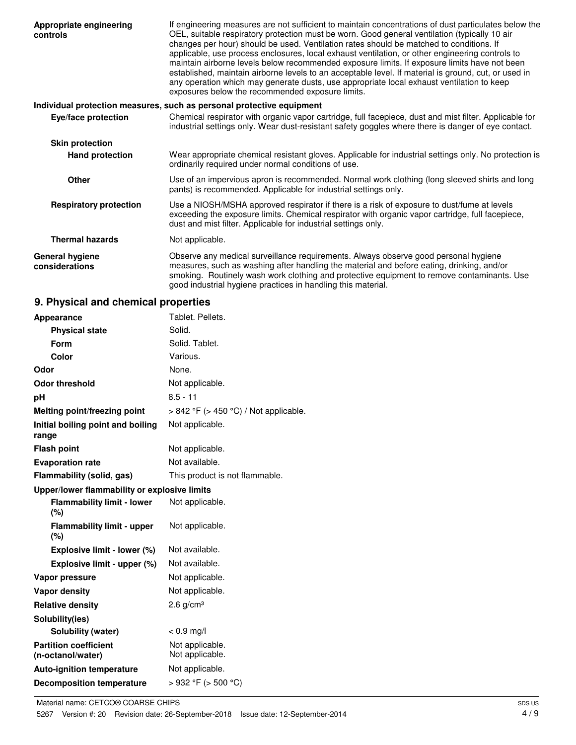| Appropriate engineering<br>controls      | If engineering measures are not sufficient to maintain concentrations of dust particulates below the<br>OEL, suitable respiratory protection must be worn. Good general ventilation (typically 10 air<br>changes per hour) should be used. Ventilation rates should be matched to conditions. If<br>applicable, use process enclosures, local exhaust ventilation, or other engineering controls to<br>maintain airborne levels below recommended exposure limits. If exposure limits have not been<br>established, maintain airborne levels to an acceptable level. If material is ground, cut, or used in<br>any operation which may generate dusts, use appropriate local exhaust ventilation to keep<br>exposures below the recommended exposure limits. |
|------------------------------------------|--------------------------------------------------------------------------------------------------------------------------------------------------------------------------------------------------------------------------------------------------------------------------------------------------------------------------------------------------------------------------------------------------------------------------------------------------------------------------------------------------------------------------------------------------------------------------------------------------------------------------------------------------------------------------------------------------------------------------------------------------------------|
|                                          | Individual protection measures, such as personal protective equipment                                                                                                                                                                                                                                                                                                                                                                                                                                                                                                                                                                                                                                                                                        |
| Eye/face protection                      | Chemical respirator with organic vapor cartridge, full facepiece, dust and mist filter. Applicable for<br>industrial settings only. Wear dust-resistant safety goggles where there is danger of eye contact.                                                                                                                                                                                                                                                                                                                                                                                                                                                                                                                                                 |
| <b>Skin protection</b>                   |                                                                                                                                                                                                                                                                                                                                                                                                                                                                                                                                                                                                                                                                                                                                                              |
| <b>Hand protection</b>                   | Wear appropriate chemical resistant gloves. Applicable for industrial settings only. No protection is<br>ordinarily required under normal conditions of use.                                                                                                                                                                                                                                                                                                                                                                                                                                                                                                                                                                                                 |
| <b>Other</b>                             | Use of an impervious apron is recommended. Normal work clothing (long sleeved shirts and long<br>pants) is recommended. Applicable for industrial settings only.                                                                                                                                                                                                                                                                                                                                                                                                                                                                                                                                                                                             |
| <b>Respiratory protection</b>            | Use a NIOSH/MSHA approved respirator if there is a risk of exposure to dust/fume at levels<br>exceeding the exposure limits. Chemical respirator with organic vapor cartridge, full facepiece,<br>dust and mist filter. Applicable for industrial settings only.                                                                                                                                                                                                                                                                                                                                                                                                                                                                                             |
| <b>Thermal hazards</b>                   | Not applicable.                                                                                                                                                                                                                                                                                                                                                                                                                                                                                                                                                                                                                                                                                                                                              |
| <b>General hygiene</b><br>considerations | Observe any medical surveillance requirements. Always observe good personal hygiene<br>measures, such as washing after handling the material and before eating, drinking, and/or<br>smoking. Routinely wash work clothing and protective equipment to remove contaminants. Use<br>good industrial hygiene practices in handling this material.                                                                                                                                                                                                                                                                                                                                                                                                               |

## **9. Physical and chemical properties**

| <b>Appearance</b>                                 | Tablet. Pellets.                      |  |
|---------------------------------------------------|---------------------------------------|--|
| <b>Physical state</b>                             | Solid.                                |  |
| <b>Form</b>                                       | Solid. Tablet.                        |  |
| Color                                             | Various.                              |  |
| Odor                                              | None.                                 |  |
| <b>Odor threshold</b>                             | Not applicable.                       |  |
| рH                                                | $8.5 - 11$                            |  |
| Melting point/freezing point                      | > 842 °F (> 450 °C) / Not applicable. |  |
| Initial boiling point and boiling<br>range        | Not applicable.                       |  |
| <b>Flash point</b>                                | Not applicable.                       |  |
| <b>Evaporation rate</b>                           | Not available.                        |  |
| Flammability (solid, gas)                         | This product is not flammable.        |  |
| Upper/lower flammability or explosive limits      |                                       |  |
| <b>Flammability limit - lower</b><br>(%)          | Not applicable.                       |  |
| <b>Flammability limit - upper</b><br>(%)          | Not applicable.                       |  |
| Explosive limit - lower (%)                       | Not available.                        |  |
| Explosive limit - upper (%)                       | Not available.                        |  |
| Vapor pressure                                    | Not applicable.                       |  |
| <b>Vapor density</b>                              | Not applicable.                       |  |
| <b>Relative density</b>                           | $2.6$ g/cm <sup>3</sup>               |  |
| Solubility(ies)                                   |                                       |  |
| <b>Solubility (water)</b>                         | $< 0.9$ mg/l                          |  |
| <b>Partition coefficient</b><br>(n-octanol/water) | Not applicable.<br>Not applicable.    |  |
| <b>Auto-ignition temperature</b>                  | Not applicable.                       |  |
| <b>Decomposition temperature</b>                  | $>932$ °F ( $>500$ °C)                |  |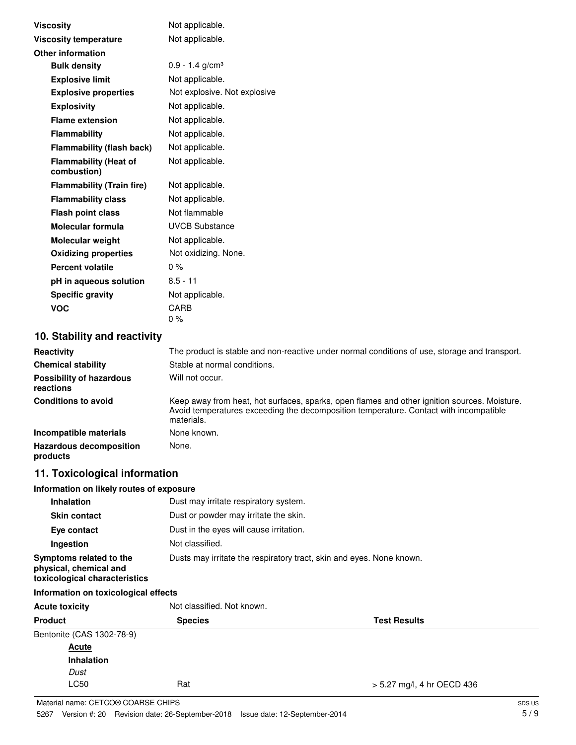| <b>Viscosity</b>                            | Not applicable.               |
|---------------------------------------------|-------------------------------|
| <b>Viscosity temperature</b>                | Not applicable.               |
| <b>Other information</b>                    |                               |
| <b>Bulk density</b>                         | $0.9 - 1.4$ g/cm <sup>3</sup> |
| <b>Explosive limit</b>                      | Not applicable.               |
| <b>Explosive properties</b>                 | Not explosive. Not explosive  |
| <b>Explosivity</b>                          | Not applicable.               |
| <b>Flame extension</b>                      | Not applicable.               |
| <b>Flammability</b>                         | Not applicable.               |
| <b>Flammability (flash back)</b>            | Not applicable.               |
| <b>Flammability (Heat of</b><br>combustion) | Not applicable.               |
| <b>Flammability (Train fire)</b>            | Not applicable.               |
| <b>Flammability class</b>                   | Not applicable.               |
| <b>Flash point class</b>                    | Not flammable                 |
| <b>Molecular formula</b>                    | <b>UVCB Substance</b>         |
| Molecular weight                            | Not applicable.               |
| <b>Oxidizing properties</b>                 | Not oxidizing. None.          |
| <b>Percent volatile</b>                     | $0\%$                         |
| pH in aqueous solution                      | $8.5 - 11$                    |
| <b>Specific gravity</b>                     | Not applicable.               |
| <b>VOC</b>                                  | CARB<br>$0\%$                 |
| 10. Stability and reactivity                |                               |

| <b>Reactivity</b>                            | The product is stable and non-reactive under normal conditions of use, storage and transport.                                                                                                       |
|----------------------------------------------|-----------------------------------------------------------------------------------------------------------------------------------------------------------------------------------------------------|
| <b>Chemical stability</b>                    | Stable at normal conditions.                                                                                                                                                                        |
| <b>Possibility of hazardous</b><br>reactions | Will not occur.                                                                                                                                                                                     |
| <b>Conditions to avoid</b>                   | Keep away from heat, hot surfaces, sparks, open flames and other ignition sources. Moisture.<br>Avoid temperatures exceeding the decomposition temperature. Contact with incompatible<br>materials. |
| Incompatible materials                       | None known.                                                                                                                                                                                         |
| <b>Hazardous decomposition</b><br>products   | None.                                                                                                                                                                                               |

## **11. Toxicological information**

| Information on likely routes of exposure                                           |                                                                      |  |
|------------------------------------------------------------------------------------|----------------------------------------------------------------------|--|
| <b>Inhalation</b>                                                                  | Dust may irritate respiratory system.                                |  |
| <b>Skin contact</b>                                                                | Dust or powder may irritate the skin.                                |  |
| Eye contact                                                                        | Dust in the eyes will cause irritation.                              |  |
| Ingestion                                                                          | Not classified.                                                      |  |
| Symptoms related to the<br>physical, chemical and<br>toxicological characteristics | Dusts may irritate the respiratory tract, skin and eyes. None known. |  |

## **Information on toxicological effects**

| <b>Acute toxicity</b>     | Not classified. Not known. |                            |  |  |
|---------------------------|----------------------------|----------------------------|--|--|
| <b>Product</b>            | <b>Species</b>             | <b>Test Results</b>        |  |  |
| Bentonite (CAS 1302-78-9) |                            |                            |  |  |
| <b>Acute</b>              |                            |                            |  |  |
| <b>Inhalation</b>         |                            |                            |  |  |
| Dust                      |                            |                            |  |  |
| <b>LC50</b>               | Rat                        | > 5.27 mg/l, 4 hr OECD 436 |  |  |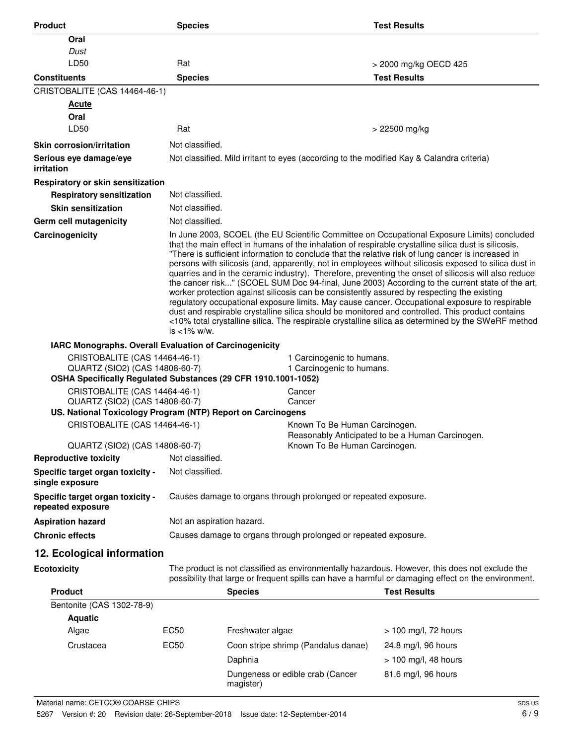| Product                                                                                                                        | <b>Species</b>                                                                                                                                                                                                                                                                                                                                                                                                                                                                                                                                                                                                                                                                                                                                                                                                                                                                                                                                                                                                                                            |                                                                                           | <b>Test Results</b>                                                                                                                                                                                   |
|--------------------------------------------------------------------------------------------------------------------------------|-----------------------------------------------------------------------------------------------------------------------------------------------------------------------------------------------------------------------------------------------------------------------------------------------------------------------------------------------------------------------------------------------------------------------------------------------------------------------------------------------------------------------------------------------------------------------------------------------------------------------------------------------------------------------------------------------------------------------------------------------------------------------------------------------------------------------------------------------------------------------------------------------------------------------------------------------------------------------------------------------------------------------------------------------------------|-------------------------------------------------------------------------------------------|-------------------------------------------------------------------------------------------------------------------------------------------------------------------------------------------------------|
| Oral                                                                                                                           |                                                                                                                                                                                                                                                                                                                                                                                                                                                                                                                                                                                                                                                                                                                                                                                                                                                                                                                                                                                                                                                           |                                                                                           |                                                                                                                                                                                                       |
| Dust                                                                                                                           |                                                                                                                                                                                                                                                                                                                                                                                                                                                                                                                                                                                                                                                                                                                                                                                                                                                                                                                                                                                                                                                           |                                                                                           |                                                                                                                                                                                                       |
| LD50                                                                                                                           | Rat                                                                                                                                                                                                                                                                                                                                                                                                                                                                                                                                                                                                                                                                                                                                                                                                                                                                                                                                                                                                                                                       |                                                                                           | > 2000 mg/kg OECD 425                                                                                                                                                                                 |
| <b>Constituents</b>                                                                                                            | <b>Species</b>                                                                                                                                                                                                                                                                                                                                                                                                                                                                                                                                                                                                                                                                                                                                                                                                                                                                                                                                                                                                                                            |                                                                                           | <b>Test Results</b>                                                                                                                                                                                   |
| CRISTOBALITE (CAS 14464-46-1)                                                                                                  |                                                                                                                                                                                                                                                                                                                                                                                                                                                                                                                                                                                                                                                                                                                                                                                                                                                                                                                                                                                                                                                           |                                                                                           |                                                                                                                                                                                                       |
| <u>Acute</u>                                                                                                                   |                                                                                                                                                                                                                                                                                                                                                                                                                                                                                                                                                                                                                                                                                                                                                                                                                                                                                                                                                                                                                                                           |                                                                                           |                                                                                                                                                                                                       |
| Oral                                                                                                                           |                                                                                                                                                                                                                                                                                                                                                                                                                                                                                                                                                                                                                                                                                                                                                                                                                                                                                                                                                                                                                                                           |                                                                                           |                                                                                                                                                                                                       |
| LD50                                                                                                                           | Rat                                                                                                                                                                                                                                                                                                                                                                                                                                                                                                                                                                                                                                                                                                                                                                                                                                                                                                                                                                                                                                                       |                                                                                           | > 22500 mg/kg                                                                                                                                                                                         |
| Skin corrosion/irritation                                                                                                      | Not classified.                                                                                                                                                                                                                                                                                                                                                                                                                                                                                                                                                                                                                                                                                                                                                                                                                                                                                                                                                                                                                                           |                                                                                           |                                                                                                                                                                                                       |
| Serious eye damage/eye<br><i>irritation</i>                                                                                    |                                                                                                                                                                                                                                                                                                                                                                                                                                                                                                                                                                                                                                                                                                                                                                                                                                                                                                                                                                                                                                                           | Not classified. Mild irritant to eyes (according to the modified Kay & Calandra criteria) |                                                                                                                                                                                                       |
| Respiratory or skin sensitization                                                                                              |                                                                                                                                                                                                                                                                                                                                                                                                                                                                                                                                                                                                                                                                                                                                                                                                                                                                                                                                                                                                                                                           |                                                                                           |                                                                                                                                                                                                       |
| <b>Respiratory sensitization</b>                                                                                               | Not classified.                                                                                                                                                                                                                                                                                                                                                                                                                                                                                                                                                                                                                                                                                                                                                                                                                                                                                                                                                                                                                                           |                                                                                           |                                                                                                                                                                                                       |
| <b>Skin sensitization</b>                                                                                                      | Not classified.                                                                                                                                                                                                                                                                                                                                                                                                                                                                                                                                                                                                                                                                                                                                                                                                                                                                                                                                                                                                                                           |                                                                                           |                                                                                                                                                                                                       |
| Germ cell mutagenicity                                                                                                         | Not classified.                                                                                                                                                                                                                                                                                                                                                                                                                                                                                                                                                                                                                                                                                                                                                                                                                                                                                                                                                                                                                                           |                                                                                           |                                                                                                                                                                                                       |
| Carcinogenicity                                                                                                                | In June 2003, SCOEL (the EU Scientific Committee on Occupational Exposure Limits) concluded<br>that the main effect in humans of the inhalation of respirable crystalline silica dust is silicosis.<br>"There is sufficient information to conclude that the relative risk of lung cancer is increased in<br>persons with silicosis (and, apparently, not in employees without silicosis exposed to silica dust in<br>quarries and in the ceramic industry). Therefore, preventing the onset of silicosis will also reduce<br>the cancer risk" (SCOEL SUM Doc 94-final, June 2003) According to the current state of the art,<br>worker protection against silicosis can be consistently assured by respecting the existing<br>regulatory occupational exposure limits. May cause cancer. Occupational exposure to respirable<br>dust and respirable crystalline silica should be monitored and controlled. This product contains<br><10% total crystalline silica. The respirable crystalline silica as determined by the SWeRF method<br>is $<$ 1% w/w. |                                                                                           |                                                                                                                                                                                                       |
| IARC Monographs. Overall Evaluation of Carcinogenicity                                                                         |                                                                                                                                                                                                                                                                                                                                                                                                                                                                                                                                                                                                                                                                                                                                                                                                                                                                                                                                                                                                                                                           |                                                                                           |                                                                                                                                                                                                       |
| CRISTOBALITE (CAS 14464-46-1)                                                                                                  |                                                                                                                                                                                                                                                                                                                                                                                                                                                                                                                                                                                                                                                                                                                                                                                                                                                                                                                                                                                                                                                           | 1 Carcinogenic to humans.                                                                 |                                                                                                                                                                                                       |
| QUARTZ (SIO2) (CAS 14808-60-7)                                                                                                 |                                                                                                                                                                                                                                                                                                                                                                                                                                                                                                                                                                                                                                                                                                                                                                                                                                                                                                                                                                                                                                                           | 1 Carcinogenic to humans.                                                                 |                                                                                                                                                                                                       |
| OSHA Specifically Regulated Substances (29 CFR 1910.1001-1052)                                                                 |                                                                                                                                                                                                                                                                                                                                                                                                                                                                                                                                                                                                                                                                                                                                                                                                                                                                                                                                                                                                                                                           |                                                                                           |                                                                                                                                                                                                       |
| CRISTOBALITE (CAS 14464-46-1)<br>QUARTZ (SIO2) (CAS 14808-60-7)<br>US. National Toxicology Program (NTP) Report on Carcinogens |                                                                                                                                                                                                                                                                                                                                                                                                                                                                                                                                                                                                                                                                                                                                                                                                                                                                                                                                                                                                                                                           | Cancer<br>Cancer                                                                          |                                                                                                                                                                                                       |
| CRISTOBALITE (CAS 14464-46-1)                                                                                                  |                                                                                                                                                                                                                                                                                                                                                                                                                                                                                                                                                                                                                                                                                                                                                                                                                                                                                                                                                                                                                                                           | Known To Be Human Carcinogen.                                                             | Reasonably Anticipated to be a Human Carcinogen.                                                                                                                                                      |
| QUARTZ (SIO2) (CAS 14808-60-7)                                                                                                 |                                                                                                                                                                                                                                                                                                                                                                                                                                                                                                                                                                                                                                                                                                                                                                                                                                                                                                                                                                                                                                                           | Known To Be Human Carcinogen.                                                             |                                                                                                                                                                                                       |
| <b>Reproductive toxicity</b>                                                                                                   | Not classified.                                                                                                                                                                                                                                                                                                                                                                                                                                                                                                                                                                                                                                                                                                                                                                                                                                                                                                                                                                                                                                           |                                                                                           |                                                                                                                                                                                                       |
| Specific target organ toxicity -<br>single exposure                                                                            | Not classified.                                                                                                                                                                                                                                                                                                                                                                                                                                                                                                                                                                                                                                                                                                                                                                                                                                                                                                                                                                                                                                           |                                                                                           |                                                                                                                                                                                                       |
| Specific target organ toxicity -<br>repeated exposure                                                                          |                                                                                                                                                                                                                                                                                                                                                                                                                                                                                                                                                                                                                                                                                                                                                                                                                                                                                                                                                                                                                                                           | Causes damage to organs through prolonged or repeated exposure.                           |                                                                                                                                                                                                       |
| <b>Aspiration hazard</b>                                                                                                       | Not an aspiration hazard.                                                                                                                                                                                                                                                                                                                                                                                                                                                                                                                                                                                                                                                                                                                                                                                                                                                                                                                                                                                                                                 |                                                                                           |                                                                                                                                                                                                       |
| <b>Chronic effects</b>                                                                                                         |                                                                                                                                                                                                                                                                                                                                                                                                                                                                                                                                                                                                                                                                                                                                                                                                                                                                                                                                                                                                                                                           | Causes damage to organs through prolonged or repeated exposure.                           |                                                                                                                                                                                                       |
| 12. Ecological information                                                                                                     |                                                                                                                                                                                                                                                                                                                                                                                                                                                                                                                                                                                                                                                                                                                                                                                                                                                                                                                                                                                                                                                           |                                                                                           |                                                                                                                                                                                                       |
| <b>Ecotoxicity</b>                                                                                                             |                                                                                                                                                                                                                                                                                                                                                                                                                                                                                                                                                                                                                                                                                                                                                                                                                                                                                                                                                                                                                                                           |                                                                                           | The product is not classified as environmentally hazardous. However, this does not exclude the<br>possibility that large or frequent spills can have a harmful or damaging effect on the environment. |
| <b>Product</b>                                                                                                                 |                                                                                                                                                                                                                                                                                                                                                                                                                                                                                                                                                                                                                                                                                                                                                                                                                                                                                                                                                                                                                                                           | <b>Species</b>                                                                            | <b>Test Results</b>                                                                                                                                                                                   |
| Bentonite (CAS 1302-78-9)                                                                                                      |                                                                                                                                                                                                                                                                                                                                                                                                                                                                                                                                                                                                                                                                                                                                                                                                                                                                                                                                                                                                                                                           |                                                                                           |                                                                                                                                                                                                       |
| <b>Aquatic</b>                                                                                                                 |                                                                                                                                                                                                                                                                                                                                                                                                                                                                                                                                                                                                                                                                                                                                                                                                                                                                                                                                                                                                                                                           |                                                                                           |                                                                                                                                                                                                       |
| Algae                                                                                                                          | EC50                                                                                                                                                                                                                                                                                                                                                                                                                                                                                                                                                                                                                                                                                                                                                                                                                                                                                                                                                                                                                                                      | Freshwater algae                                                                          | $> 100$ mg/l, 72 hours                                                                                                                                                                                |
| Crustacea                                                                                                                      | EC50                                                                                                                                                                                                                                                                                                                                                                                                                                                                                                                                                                                                                                                                                                                                                                                                                                                                                                                                                                                                                                                      | Coon stripe shrimp (Pandalus danae)                                                       | 24.8 mg/l, 96 hours                                                                                                                                                                                   |
|                                                                                                                                |                                                                                                                                                                                                                                                                                                                                                                                                                                                                                                                                                                                                                                                                                                                                                                                                                                                                                                                                                                                                                                                           | Daphnia                                                                                   | > 100 mg/l, 48 hours                                                                                                                                                                                  |
|                                                                                                                                |                                                                                                                                                                                                                                                                                                                                                                                                                                                                                                                                                                                                                                                                                                                                                                                                                                                                                                                                                                                                                                                           | Dungeness or edible crab (Cancer                                                          | 81.6 mg/l, 96 hours                                                                                                                                                                                   |
|                                                                                                                                |                                                                                                                                                                                                                                                                                                                                                                                                                                                                                                                                                                                                                                                                                                                                                                                                                                                                                                                                                                                                                                                           | magister)                                                                                 |                                                                                                                                                                                                       |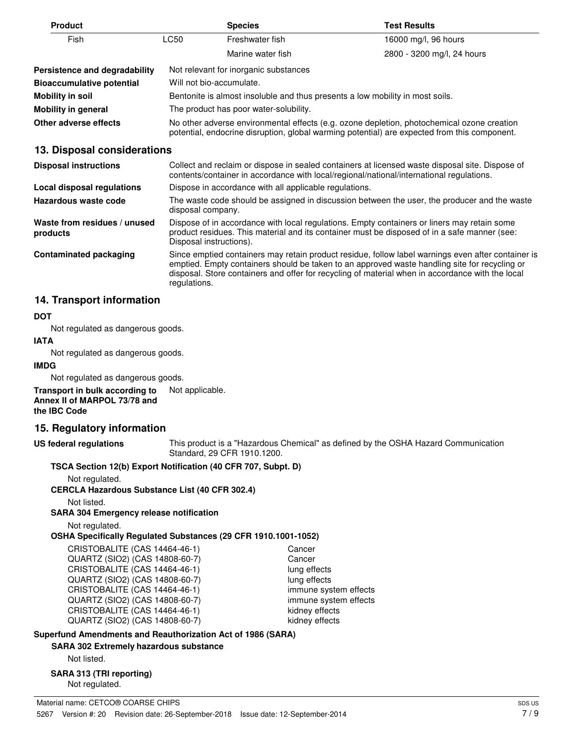| <b>Product</b>                    |                                                                                                                                                                                             | <b>Species</b>                        | <b>Test Results</b>        |  |
|-----------------------------------|---------------------------------------------------------------------------------------------------------------------------------------------------------------------------------------------|---------------------------------------|----------------------------|--|
| Fish                              | LC50                                                                                                                                                                                        | Freshwater fish                       | 16000 mg/l, 96 hours       |  |
|                                   |                                                                                                                                                                                             | Marine water fish                     | 2800 - 3200 mg/l, 24 hours |  |
| Persistence and degradability     |                                                                                                                                                                                             | Not relevant for inorganic substances |                            |  |
| <b>Bioaccumulative potential</b>  | Will not bio-accumulate.                                                                                                                                                                    |                                       |                            |  |
| <b>Mobility in soil</b>           | Bentonite is almost insoluble and thus presents a low mobility in most soils.                                                                                                               |                                       |                            |  |
| Mobility in general               | The product has poor water-solubility.                                                                                                                                                      |                                       |                            |  |
| Other adverse effects             | No other adverse environmental effects (e.g. ozone depletion, photochemical ozone creation<br>potential, endocrine disruption, global warming potential) are expected from this component.  |                                       |                            |  |
| 13. Disposal considerations       |                                                                                                                                                                                             |                                       |                            |  |
| <b>Disposal instructions</b>      | Collect and reclaim or dispose in sealed containers at licensed waste disposal site. Dispose of<br>contents/container in accordance with local/regional/national/international regulations. |                                       |                            |  |
| <b>Local disposal regulations</b> | Dispose in accordance with all applicable regulations.                                                                                                                                      |                                       |                            |  |
| Hazardous waste code              | The waste code should be assigned in discussion between the user, the producer and the waste<br>disposal company.                                                                           |                                       |                            |  |

Dispose of in accordance with local regulations. Empty containers or liners may retain some product residues. This material and its container must be disposed of in a safe manner (see: Disposal instructions). **Waste from residues / unused products**

Since emptied containers may retain product residue, follow label warnings even after container is emptied. Empty containers should be taken to an approved waste handling site for recycling or disposal. Store containers and offer for recycling of material when in accordance with the local regulations. **Contaminated packaging**

## **14. Transport information**

## **DOT**

Not regulated as dangerous goods.

## **IATA**

Not regulated as dangerous goods.

### **IMDG**

Not regulated as dangerous goods.

#### **Transport in bulk according to** Not applicable. **Annex II of MARPOL 73/78 and the IBC Code**

## **15. Regulatory information**

**US federal regulations**

This product is a "Hazardous Chemical" as defined by the OSHA Hazard Communication Standard, 29 CFR 1910.1200.

## **TSCA Section 12(b) Export Notification (40 CFR 707, Subpt. D)**

Not regulated.

**CERCLA Hazardous Substance List (40 CFR 302.4)**

Not listed.

## **SARA 304 Emergency release notification**

Not regulated.

## **OSHA Specifically Regulated Substances (29 CFR 1910.1001-1052)**

CRISTOBALITE (CAS 14464-46-1) Cancer QUARTZ (SIO2) (CAS 14808-60-7) Cancer<br>CRISTOBALITE (CAS 14464-46-1) CRISTOBALITE (CAS 14464-46-1) CRISTOBALITE (CAS 14464-46-1) QUARTZ (SIO2) (CAS 14808-60-7) lung effects CRISTOBALITE (CAS 14464-46-1) immune system effects QUARTZ (SIO2) (CAS 14808-60-7) immune system effects CRISTOBALITE (CAS 14464-46-1) kidney effects QUARTZ (SIO2) (CAS 14808-60-7) kidney effects

## **Superfund Amendments and Reauthorization Act of 1986 (SARA)**

## **SARA 302 Extremely hazardous substance**

Not listed.

#### **SARA 313 (TRI reporting)** Not regulated.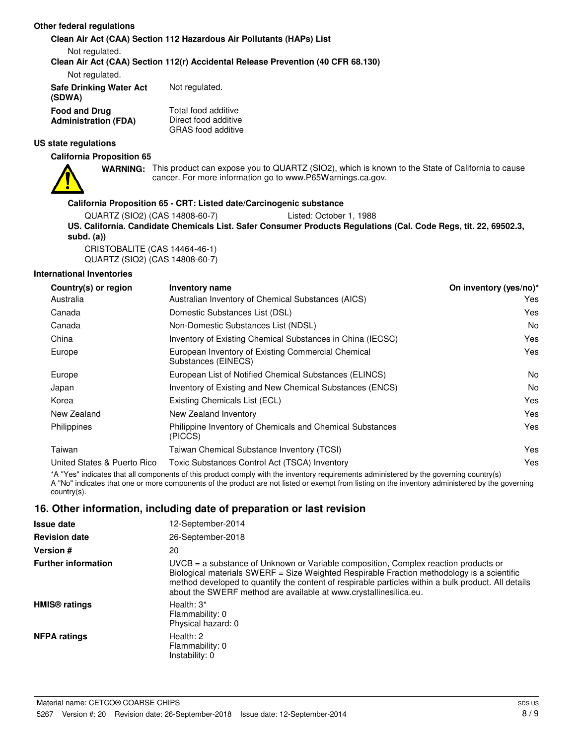## **Other federal regulations**

**Clean Air Act (CAA) Section 112 Hazardous Air Pollutants (HAPs) List**

Not regulated.

**Clean Air Act (CAA) Section 112(r) Accidental Release Prevention (40 CFR 68.130)**

Not regulated.

**Safe Drinking Water Act** Not regulated. **(SDWA)** Total food additive Direct food additive GRAS food additive **Food and Drug Administration (FDA)**

### **US state regulations**

**California Proposition 65**



WARNING: This product can expose you to QUARTZ (SIO2), which is known to the State of California to cause cancer. For more information go to www.P65Warnings.ca.gov.

## **California Proposition 65 - CRT: Listed date/Carcinogenic substance**

```
QUARTZ (SIO2) (CAS 14808-60-7) Listed: October 1, 1988
US. California. Candidate Chemicals List. Safer Consumer Products Regulations (Cal. Code Regs, tit. 22, 69502.3,
subd. (a))
```
CRISTOBALITE (CAS 14464-46-1) QUARTZ (SIO2) (CAS 14808-60-7)

## **International Inventories**

| Country(s) or region                                                                                                                              | <b>Inventory name</b>                                                     | On inventory (yes/no)* |  |  |
|---------------------------------------------------------------------------------------------------------------------------------------------------|---------------------------------------------------------------------------|------------------------|--|--|
| Australia                                                                                                                                         | Australian Inventory of Chemical Substances (AICS)                        | Yes                    |  |  |
| Canada                                                                                                                                            | Domestic Substances List (DSL)                                            | Yes                    |  |  |
| Canada                                                                                                                                            | Non-Domestic Substances List (NDSL)                                       | No.                    |  |  |
| China                                                                                                                                             | Inventory of Existing Chemical Substances in China (IECSC)                | Yes                    |  |  |
| Europe                                                                                                                                            | European Inventory of Existing Commercial Chemical<br>Substances (EINECS) | Yes                    |  |  |
| Europe                                                                                                                                            | European List of Notified Chemical Substances (ELINCS)                    | No.                    |  |  |
| Japan                                                                                                                                             | Inventory of Existing and New Chemical Substances (ENCS)                  | No.                    |  |  |
| Korea                                                                                                                                             | Existing Chemicals List (ECL)                                             | Yes                    |  |  |
| New Zealand                                                                                                                                       | New Zealand Inventory                                                     | Yes                    |  |  |
| Philippines                                                                                                                                       | Philippine Inventory of Chemicals and Chemical Substances<br>(PICCS)      | Yes                    |  |  |
| Taiwan                                                                                                                                            | Taiwan Chemical Substance Inventory (TCSI)                                | Yes                    |  |  |
| United States & Puerto Rico                                                                                                                       | Toxic Substances Control Act (TSCA) Inventory                             | Yes.                   |  |  |
| ★▲ #N/co# !odicodoc distribuciones codo of this was diret comediated by the codomic main controlled by distribucion and come and an according for |                                                                           |                        |  |  |

\*A "Yes" indicates that all components of this product comply with the inventory requirements administered by the governing country(s) A "No" indicates that one or more components of the product are not listed or exempt from listing on the inventory administered by the governing country(s).

## **16. Other information, including date of preparation or last revision**

| <b>Issue date</b>               | 12-September-2014                                                                                                                                                                                                                                                                                                                                               |
|---------------------------------|-----------------------------------------------------------------------------------------------------------------------------------------------------------------------------------------------------------------------------------------------------------------------------------------------------------------------------------------------------------------|
| <b>Revision date</b>            | 26-September-2018                                                                                                                                                                                                                                                                                                                                               |
| Version #                       | 20                                                                                                                                                                                                                                                                                                                                                              |
| <b>Further information</b>      | $UVCB = a$ substance of Unknown or Variable composition, Complex reaction products or<br>Biological materials SWERF = Size Weighted Respirable Fraction methodology is a scientific<br>method developed to quantify the content of respirable particles within a bulk product. All details<br>about the SWERF method are available at www.crystallinesilica.eu. |
| <b>HMIS<sup>®</sup></b> ratings | Health: 3*<br>Flammability: 0<br>Physical hazard: 0                                                                                                                                                                                                                                                                                                             |
| <b>NFPA ratings</b>             | Health: 2<br>Flammability: 0<br>Instability: 0                                                                                                                                                                                                                                                                                                                  |